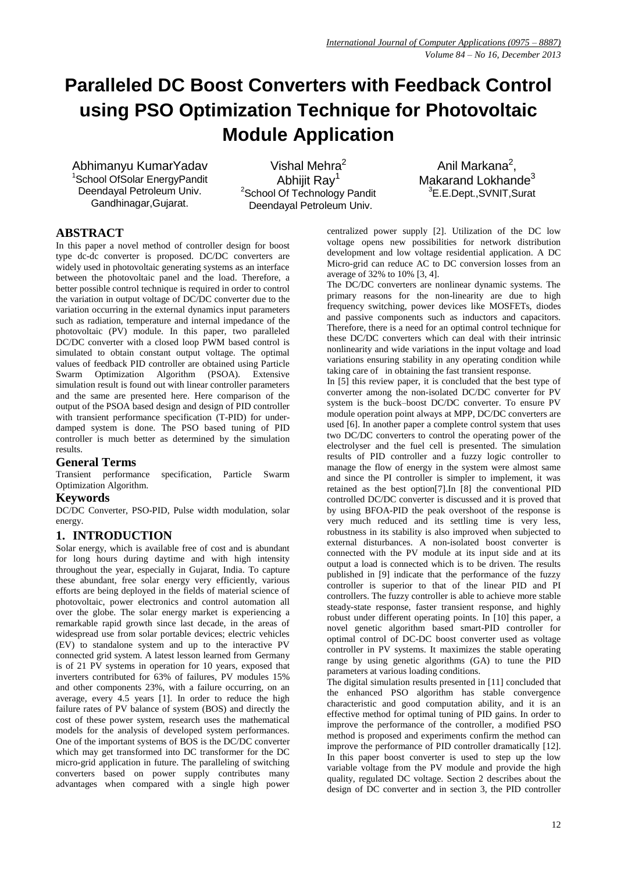# **Paralleled DC Boost Converters with Feedback Control using PSO Optimization Technique for Photovoltaic Module Application**

Abhimanyu KumarYadav 1 School OfSolar EnergyPandit Deendayal Petroleum Univ. Gandhinagar,Gujarat.

Vishal Mehra<sup>2</sup> Abhiiit Rav<sup>1</sup> <sup>2</sup>School Of Technology Pandit Deendayal Petroleum Univ.

Anil Markana<sup>2</sup>, Makarand Lokhande<sup>3</sup> <sup>3</sup>E.E.Dept.,SVNIT,Surat

# **ABSTRACT**

In this paper a novel method of controller design for boost type dc-dc converter is proposed. DC/DC converters are widely used in photovoltaic generating systems as an interface between the photovoltaic panel and the load. Therefore, a better possible control technique is required in order to control the variation in output voltage of DC/DC converter due to the variation occurring in the external dynamics input parameters such as radiation, temperature and internal impedance of the photovoltaic (PV) module. In this paper, two paralleled DC/DC converter with a closed loop PWM based control is simulated to obtain constant output voltage. The optimal values of feedback PID controller are obtained using Particle Swarm Optimization Algorithm (PSOA). Extensive simulation result is found out with linear controller parameters and the same are presented here. Here comparison of the output of the PSOA based design and design of PID controller with transient performance specification (T-PID) for underdamped system is done. The PSO based tuning of PID controller is much better as determined by the simulation results.

## **General Terms**

Transient performance specification, Particle Swarm Optimization Algorithm.

## **Keywords**

DC/DC Converter, PSO-PID, Pulse width modulation, solar energy.

## **1. INTRODUCTION**

Solar energy, which is available free of cost and is abundant for long hours during daytime and with high intensity throughout the year, especially in Gujarat, India. To capture these abundant, free solar energy very efficiently, various efforts are being deployed in the fields of material science of photovoltaic, power electronics and control automation all over the globe. The solar energy market is experiencing a remarkable rapid growth since last decade, in the areas of widespread use from solar portable devices; electric vehicles (EV) to standalone system and up to the interactive PV connected grid system. A latest lesson learned from Germany is of 21 PV systems in operation for 10 years, exposed that inverters contributed for 63% of failures, PV modules 15% and other components 23%, with a failure occurring, on an average, every 4.5 years [1]. In order to reduce the high failure rates of PV balance of system (BOS) and directly the cost of these power system, research uses the mathematical models for the analysis of developed system performances. One of the important systems of BOS is the DC/DC converter which may get transformed into DC transformer for the DC micro-grid application in future. The paralleling of switching converters based on power supply contributes many advantages when compared with a single high power

centralized power supply [2]. Utilization of the DC low voltage opens new possibilities for network distribution development and low voltage residential application. A DC Micro-grid can reduce AC to DC conversion losses from an average of 32% to 10% [3, 4].

The DC/DC converters are nonlinear dynamic systems. The primary reasons for the non-linearity are due to high frequency switching, power devices like MOSFETs, diodes and passive components such as inductors and capacitors. Therefore, there is a need for an optimal control technique for these DC/DC converters which can deal with their intrinsic nonlinearity and wide variations in the input voltage and load variations ensuring stability in any operating condition while taking care of in obtaining the fast transient response.

In [5] this review paper, it is concluded that the best type of converter among the non-isolated DC/DC converter for PV system is the buck–boost DC/DC converter. To ensure PV module operation point always at MPP, DC/DC converters are used [6]. In another paper a complete control system that uses two DC/DC converters to control the operating power of the electrolyser and the fuel cell is presented. The simulation results of PID controller and a fuzzy logic controller to manage the flow of energy in the system were almost same and since the PI controller is simpler to implement, it was retained as the best option[7].In [8] the conventional PID controlled DC/DC converter is discussed and it is proved that by using BFOA-PID the peak overshoot of the response is very much reduced and its settling time is very less, robustness in its stability is also improved when subjected to external disturbances. A non-isolated boost converter is connected with the PV module at its input side and at its output a load is connected which is to be driven. The results published in [9] indicate that the performance of the fuzzy controller is superior to that of the linear PID and PI controllers. The fuzzy controller is able to achieve more stable steady-state response, faster transient response, and highly robust under different operating points. In [10] this paper, a novel genetic algorithm based smart-PID controller for optimal control of DC-DC boost converter used as voltage controller in PV systems. It maximizes the stable operating range by using genetic algorithms (GA) to tune the PID parameters at various loading conditions.

The digital simulation results presented in [11] concluded that the enhanced PSO algorithm has stable convergence characteristic and good computation ability, and it is an effective method for optimal tuning of PID gains. In order to improve the performance of the controller, a modified PSO method is proposed and experiments confirm the method can improve the performance of PID controller dramatically [12]. In this paper boost converter is used to step up the low variable voltage from the PV module and provide the high quality, regulated DC voltage. Section 2 describes about the design of DC converter and in section 3, the PID controller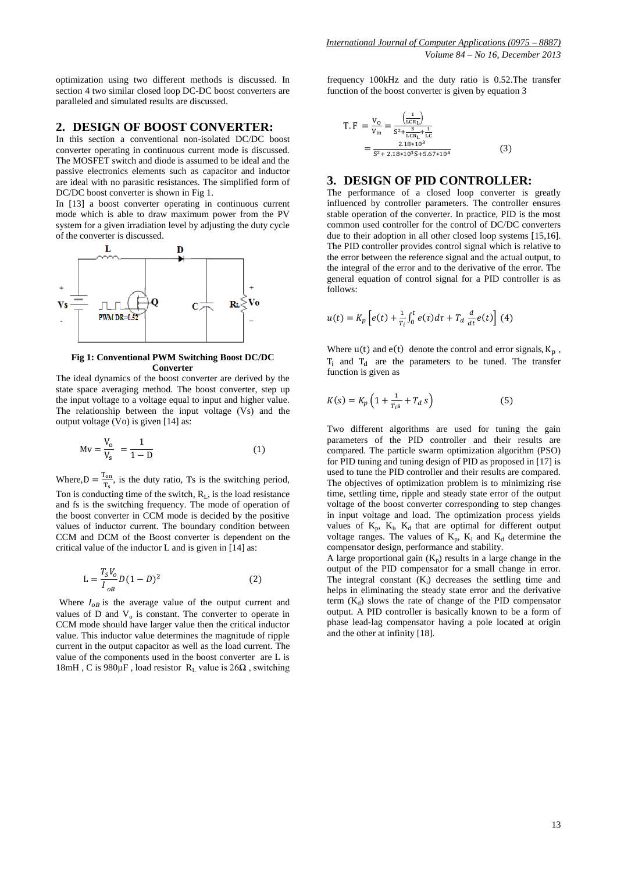optimization using two different methods is discussed. In section 4 two similar closed loop DC-DC boost converters are paralleled and simulated results are discussed.

#### **2. DESIGN OF BOOST CONVERTER:**

In this section a conventional non-isolated DC/DC boost converter operating in continuous current mode is discussed. The MOSFET switch and diode is assumed to be ideal and the passive electronics elements such as capacitor and inductor are ideal with no parasitic resistances. The simplified form of DC/DC boost converter is shown in Fig 1.

In [13] a boost converter operating in continuous current mode which is able to draw maximum power from the PV system for a given irradiation level by adjusting the duty cycle of the converter is discussed.



#### **Fig 1: Conventional PWM Switching Boost DC/DC Converter**

The ideal dynamics of the boost converter are derived by the state space averaging method. The boost converter, step up the input voltage to a voltage equal to input and higher value. The relationship between the input voltage (Vs) and the output voltage (Vo) is given [14] as:

$$
Mv = \frac{V_o}{V_s} = \frac{1}{1 - D}
$$
 (1)

Where,  $D = \frac{T}{a}$  $\frac{r_{\text{on}}}{T_s}$ , is the duty ratio, Ts is the switching period, Ton is conducting time of the switch,  $R<sub>L</sub>$ , is the load resistance and fs is the switching frequency. The mode of operation of the boost converter in CCM mode is decided by the positive values of inductor current. The boundary condition between CCM and DCM of the Boost converter is dependent on the critical value of the inductor L and is given in [14] as:

$$
L = \frac{T_S V_o}{I_{oB}} D(1 - D)^2
$$
 (2)

Where  $I_{oB}$  is the average value of the output current and values of  $D$  and  $V_0$  is constant. The converter to operate in CCM mode should have larger value then the critical inductor value. This inductor value determines the magnitude of ripple current in the output capacitor as well as the load current. The value of the components used in the boost converter are L is 18mH, C is 980 $\mu$ F, load resistor R<sub>L</sub> value is 26 $\Omega$ , switching

frequency 100kHz and the duty ratio is 0.52.The transfer function of the boost converter is given by equation 3

$$
T.F = \frac{V_0}{V_{in}} = \frac{\frac{1}{(LCR_1)}}{S^2 + \frac{S}{LCR_1} + \frac{1}{LC}}
$$
  
= 
$$
\frac{2.18*10^3}{S^2 + 2.18*10^3 S + 5.67*10^4}
$$
(3)

#### **3. DESIGN OF PID CONTROLLER:**

The performance of a closed loop converter is greatly influenced by controller parameters. The controller ensures stable operation of the converter. In practice, PID is the most common used controller for the control of DC/DC converters due to their adoption in all other closed loop systems [15,16]. The PID controller provides control signal which is relative to the error between the reference signal and the actual output, to the integral of the error and to the derivative of the error. The general equation of control signal for a PID controller is as follows:

$$
u(t) = K_p \left[ e(t) + \frac{1}{T_i} \int_0^t e(\tau) d\tau + T_d \frac{d}{dt} e(t) \right] (4)
$$

Where  $u(t)$  and  $e(t)$  denote the control and error signals,  $K_p$ ,  $T_i$  and  $T_d$  are the parameters to be tuned. The transfer function is given as

$$
K(s) = K_p \left( 1 + \frac{1}{T_{i}s} + T_d \, s \right) \tag{5}
$$

Two different algorithms are used for tuning the gain parameters of the PID controller and their results are compared. The particle swarm optimization algorithm (PSO) for PID tuning and tuning design of PID as proposed in [17] is used to tune the PID controller and their results are compared. The objectives of optimization problem is to minimizing rise time, settling time, ripple and steady state error of the output voltage of the boost converter corresponding to step changes in input voltage and load. The optimization process yields values of  $K_p$ ,  $K_i$ ,  $K_d$  that are optimal for different output voltage ranges. The values of  $K_p$ ,  $K_i$  and  $K_d$  determine the compensator design, performance and stability.

A large proportional gain  $(K_p)$  results in a large change in the output of the PID compensator for a small change in error. The integral constant  $(K_i)$  decreases the settling time and helps in eliminating the steady state error and the derivative term  $(K_d)$  slows the rate of change of the PID compensator output. A PID controller is basically known to be a form of phase lead-lag compensator having a pole located at origin and the other at infinity [18].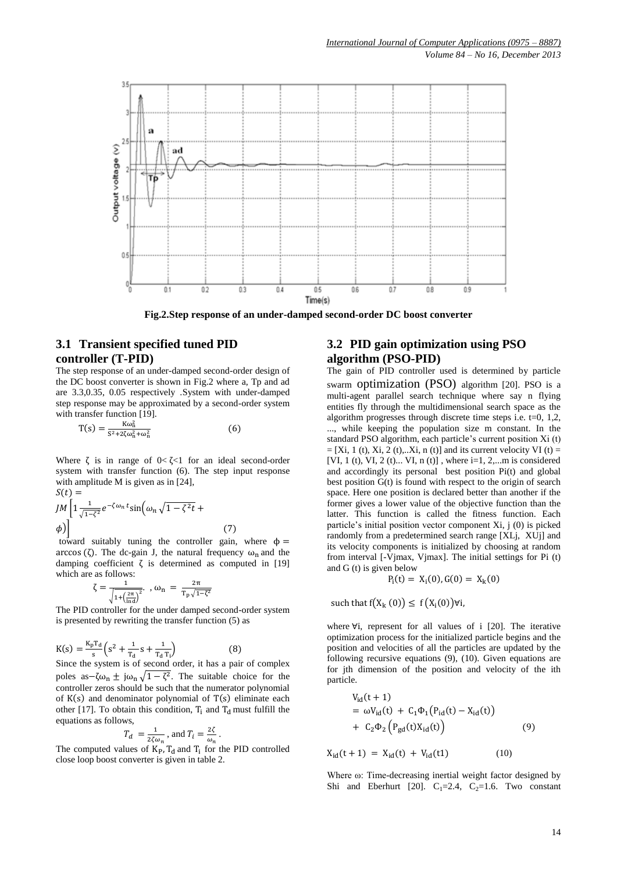

**Fig.2.Step response of an under-damped second-order DC boost converter**

## **3.1 Transient specified tuned PID controller (T-PID)**

The step response of an under-damped second-order design of the DC boost converter is shown in Fig.2 where a, Tp and ad are 3.3,0.35, 0.05 respectively .System with under-damped step response may be approximated by a second-order system with transfer function [19].

$$
T(s) = \frac{K\omega_n^2}{s^2 + 2\zeta\omega_n^2 + \omega_n^2}
$$
 (6)

Where  $\zeta$  is in range of  $0 < \zeta < 1$  for an ideal second-order system with transfer function (6). The step input response with amplitude M is given as in [24],  $\zeta(t)$  –

$$
JM \left[ 1 - \frac{1}{\sqrt{1-\zeta^2}} e^{-\zeta \omega_n t} \sin \left( \omega_n \sqrt{1-\zeta^2 t} + \phi \right) \right]
$$
\ntoward suitably tuning the controller gain, where d

ф = arccos ( $\zeta$ ). The dc-gain J, the natural frequency  $\omega_n$  and the damping coefficient  $\zeta$  is determined as computed in [19] which are as follows:

$$
\zeta = \frac{1}{\sqrt{1{+}\big(\frac{2\pi}{\ln d}\big)^2}}. \ \ , \ \omega_n \ = \ \frac{2\pi}{T_p\,\sqrt{1{-}\zeta^2}}
$$

The PID controller for the under damped second-order system is presented by rewriting the transfer function (5) as

$$
K(s) = \frac{K_p T_d}{s} \left( s^2 + \frac{1}{T_d} s + \frac{1}{T_d T_i} \right)
$$
(8)

Since the system is of second order, it has a pair of complex poles as  $-\zeta\omega_n \pm j\omega_n\sqrt{1-\zeta^2}$ . The suitable choice for the controller zeros should be such that the numerator polynomial of  $K(s)$  and denominator polynomial of  $T(s)$  eliminate each other [17]. To obtain this condition,  $T_i$  and  $T_d$  must fulfill the equations as follows,

$$
T_d = \frac{1}{2\zeta \omega_n}
$$
, and  $T_i = \frac{2\zeta}{\omega_n}$ 

.

The computed values of  $K_{P}$ ,  $T_{d}$  and  $T_{i}$  for the PID controlled close loop boost converter is given in table 2.

## **3.2 PID gain optimization using PSO algorithm (PSO-PID)**

The gain of PID controller used is determined by particle swarm optimization (PSO) algorithm [20]. PSO is a multi-agent parallel search technique where say n flying entities fly through the multidimensional search space as the algorithm progresses through discrete time steps i.e. t=0, 1,2, ..., while keeping the population size m constant. In the standard PSO algorithm, each particle's current position Xi (t)  $=[Xi, 1(t), Xi, 2(t),...Xi, n(t)]$  and its current velocity VI (t) = [VI, 1 (t), VI, 2 (t)... VI, n (t)], where  $i=1, 2,...m$  is considered and accordingly its personal best position Pi(t) and global best position G(t) is found with respect to the origin of search space. Here one position is declared better than another if the former gives a lower value of the objective function than the latter. This function is called the fitness function. Each particle's initial position vector component Xi, j (0) is picked randomly from a predetermined search range [XLj, XUj] and its velocity components is initialized by choosing at random from interval [-Vjmax, Vjmax]. The initial settings for Pi (t) and G (t) is given below

$$
P_i(t) = X_i(0), G(0) = X_k(0)
$$

such that  $f(X_k(0)) \leq f(X_i)$ 

where  $\nabla i$ , represent for all values of i [20]. The iterative optimization process for the initialized particle begins and the position and velocities of all the particles are updated by the following recursive equations (9), (10). Given equations are for jth dimension of the position and velocity of the ith particle.

$$
V_{id}(t + 1) = \omega V_{id}(t) + C_1 \Phi_1 (P_{id}(t) - X_{id}(t)) + C_2 \Phi_2 (P_{gd}(t)X_{id}(t))
$$
(9)

 $X_{id}(t + 1) = X_{id}(t) + V_{id}(t1)$  (10)

Where ω: Time-decreasing inertial weight factor designed by Shi and Eberhurt [20].  $C_1=2.4$ ,  $C_2=1.6$ . Two constant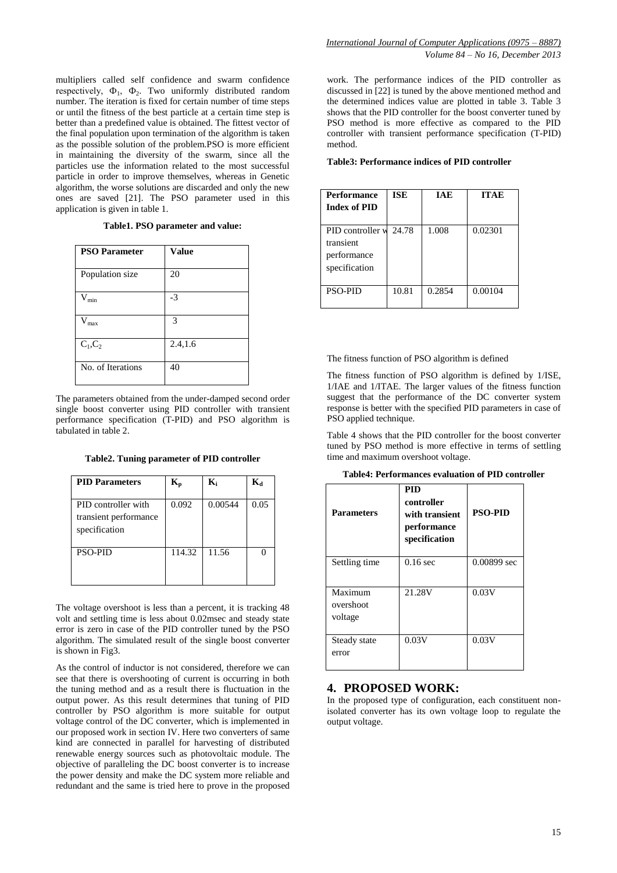multipliers called self confidence and swarm confidence respectively,  $\Phi_1$ ,  $\Phi_2$ . Two uniformly distributed random number. The iteration is fixed for certain number of time steps or until the fitness of the best particle at a certain time step is better than a predefined value is obtained. The fittest vector of the final population upon termination of the algorithm is taken as the possible solution of the problem.PSO is more efficient in maintaining the diversity of the swarm, since all the particles use the information related to the most successful particle in order to improve themselves, whereas in Genetic algorithm, the worse solutions are discarded and only the new ones are saved [21]. The PSO parameter used in this application is given in table 1.

#### **Table1. PSO parameter and value:**

| <b>PSO Parameter</b> | <b>Value</b> |
|----------------------|--------------|
| Population size      | 20           |
| $V_{min}$            | $-3$         |
| $\rm V_{max}$        | 3            |
| $C_1, C_2$           | 2.4, 1.6     |
| No. of Iterations    | 40           |

The parameters obtained from the under-damped second order single boost converter using PID controller with transient performance specification (T-PID) and PSO algorithm is tabulated in table 2.

**Table2. Tuning parameter of PID controller**

| <b>PID Parameters</b>                                         | K,     | $\mathbf{K}_{i}$ | $\mathbf{K}_{\mathbf{d}}$ |
|---------------------------------------------------------------|--------|------------------|---------------------------|
| PID controller with<br>transient performance<br>specification | 0.092  | 0.00544          | 0.05                      |
| <b>PSO-PID</b>                                                | 114.32 | 11.56            |                           |

The voltage overshoot is less than a percent, it is tracking 48 volt and settling time is less about 0.02msec and steady state error is zero in case of the PID controller tuned by the PSO algorithm. The simulated result of the single boost converter is shown in Fig3.

As the control of inductor is not considered, therefore we can see that there is overshooting of current is occurring in both the tuning method and as a result there is fluctuation in the output power. As this result determines that tuning of PID controller by PSO algorithm is more suitable for output voltage control of the DC converter, which is implemented in our proposed work in section IV. Here two converters of same kind are connected in parallel for harvesting of distributed renewable energy sources such as photovoltaic module. The objective of paralleling the DC boost converter is to increase the power density and make the DC system more reliable and redundant and the same is tried here to prove in the proposed

work. The performance indices of the PID controller as discussed in [22] is tuned by the above mentioned method and the determined indices value are plotted in table 3. Table 3 shows that the PID controller for the boost converter tuned by PSO method is more effective as compared to the PID controller with transient performance specification (T-PID) method.

#### **Table3: Performance indices of PID controller**

| <b>Performance</b><br><b>Index of PID</b>                           | <b>ISE</b> | <b>IAE</b> | <b>ITAE</b> |
|---------------------------------------------------------------------|------------|------------|-------------|
| PID controller w 24.78<br>transient<br>performance<br>specification |            | 1.008      | 0.02301     |
| <b>PSO-PID</b>                                                      | 10.81      | 0.2854     | 0.00104     |

The fitness function of PSO algorithm is defined

The fitness function of PSO algorithm is defined by 1/ISE, 1/IAE and 1/ITAE. The larger values of the fitness function suggest that the performance of the DC converter system response is better with the specified PID parameters in case of PSO applied technique.

Table 4 shows that the PID controller for the boost converter tuned by PSO method is more effective in terms of settling time and maximum overshoot voltage.

| <b>Table4: Performances evaluation of PID controller</b> |  |  |
|----------------------------------------------------------|--|--|
|----------------------------------------------------------|--|--|

| <b>Parameters</b>               | <b>PID</b><br>controller<br>with transient<br>performance<br>specification | <b>PSO-PID</b> |
|---------------------------------|----------------------------------------------------------------------------|----------------|
| Settling time                   | $0.16$ sec                                                                 | 0.00899 sec    |
| Maximum<br>overshoot<br>voltage | 21.28V                                                                     | 0.03V          |
| Steady state<br>error           | 0.03V                                                                      | 0.03V          |

#### **4. PROPOSED WORK:**

In the proposed type of configuration, each constituent nonisolated converter has its own voltage loop to regulate the output voltage.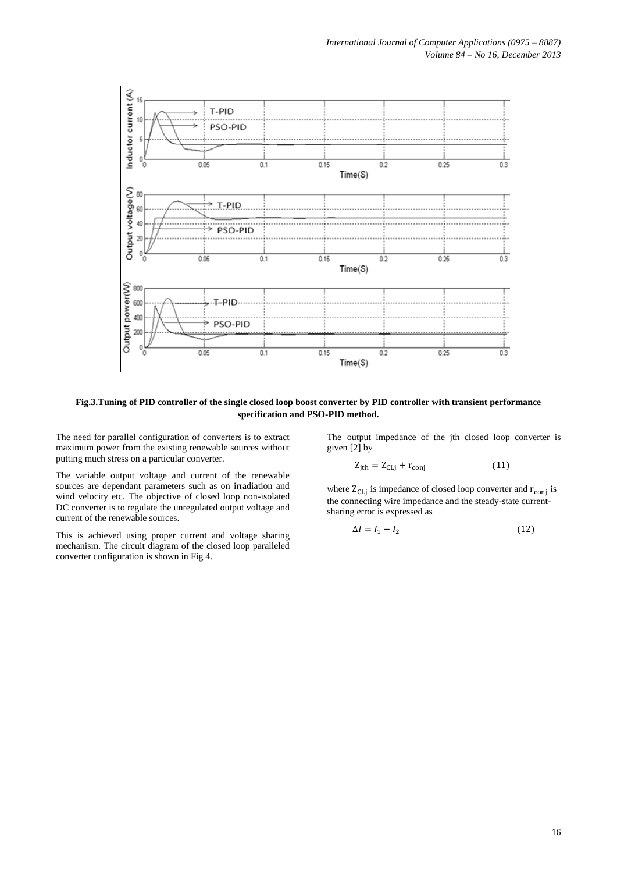

**Fig.3.Tuning of PID controller of the single closed loop boost converter by PID controller with transient performance specification and PSO-PID method.**

The need for parallel configuration of converters is to extract maximum power from the existing renewable sources without putting much stress on a particular converter.

The output impedance of the jth closed loop converter is given [2] by

$$
Z_{jth} = Z_{CLj} + r_{conj} \tag{11}
$$

The variable output voltage and current of the renewable sources are dependant parameters such as on irradiation and wind velocity etc. The objective of closed loop non-isolated DC converter is to regulate the unregulated output voltage and current of the renewable sources.

This is achieved using proper current and voltage sharing mechanism. The circuit diagram of the closed loop paralleled converter configuration is shown in Fig 4.

where  $Z_{CLj}$  is impedance of closed loop converter and  $r_{conj}$  is the connecting wire impedance and the steady-state currentsharing error is expressed as

$$
\Delta I = I_1 - I_2 \tag{12}
$$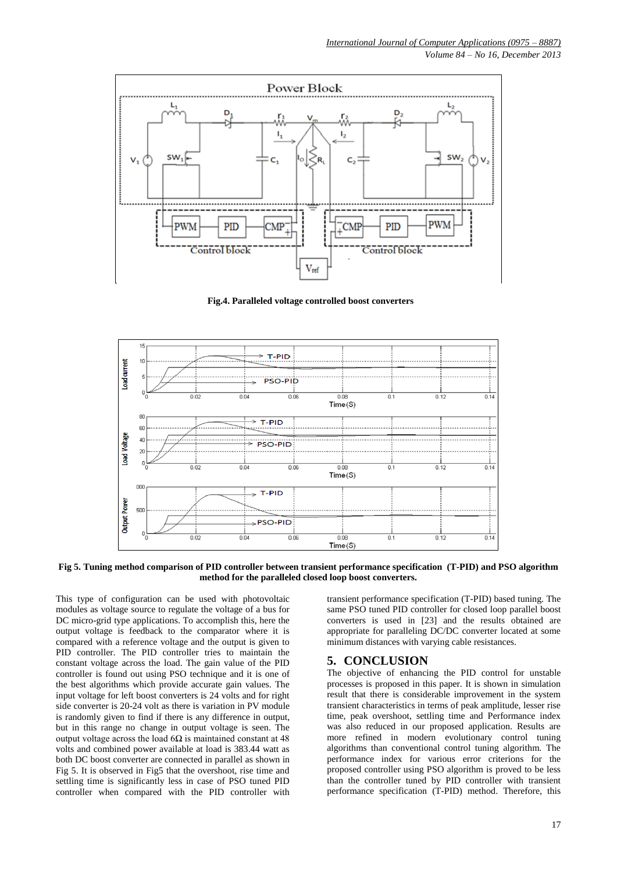

 **Fig.4. Paralleled voltage controlled boost converters**



**Fig 5. Tuning method comparison of PID controller between transient performance specification (T-PID) and PSO algorithm method for the paralleled closed loop boost converters.**

This type of configuration can be used with photovoltaic modules as voltage source to regulate the voltage of a bus for DC micro-grid type applications. To accomplish this, here the output voltage is feedback to the comparator where it is compared with a reference voltage and the output is given to PID controller. The PID controller tries to maintain the constant voltage across the load. The gain value of the PID controller is found out using PSO technique and it is one of the best algorithms which provide accurate gain values. The input voltage for left boost converters is 24 volts and for right side converter is 20-24 volt as there is variation in PV module is randomly given to find if there is any difference in output, but in this range no change in output voltage is seen. The output voltage across the load  $6Ω$  is maintained constant at 48 volts and combined power available at load is 383.44 watt as both DC boost converter are connected in parallel as shown in Fig 5. It is observed in Fig5 that the overshoot, rise time and settling time is significantly less in case of PSO tuned PID controller when compared with the PID controller with

transient performance specification (T-PID) based tuning. The same PSO tuned PID controller for closed loop parallel boost converters is used in [23] and the results obtained are appropriate for paralleling DC/DC converter located at some minimum distances with varying cable resistances.

## **5. CONCLUSION**

The objective of enhancing the PID control for unstable processes is proposed in this paper. It is shown in simulation result that there is considerable improvement in the system transient characteristics in terms of peak amplitude, lesser rise time, peak overshoot, settling time and Performance index was also reduced in our proposed application. Results are more refined in modern evolutionary control tuning algorithms than conventional control tuning algorithm. The performance index for various error criterions for the proposed controller using PSO algorithm is proved to be less than the controller tuned by PID controller with transient performance specification (T-PID) method. Therefore, this